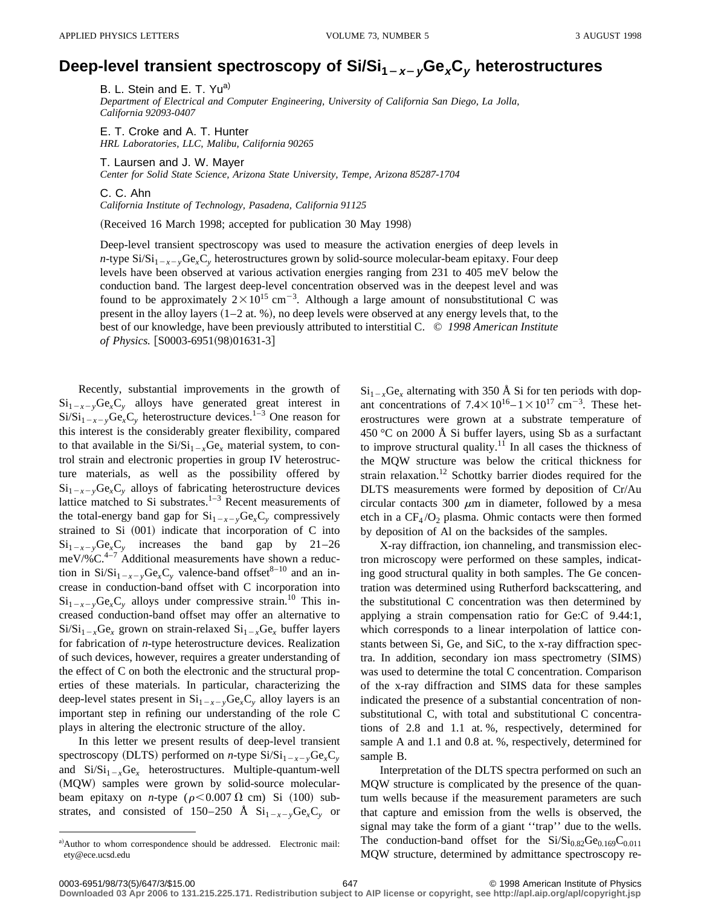## Deep-level transient spectroscopy of  $Si/Si_{1-x-y}Ge_xC_y$  heterostructures

B. L. Stein and E. T. Yu<sup>a)</sup>

*Department of Electrical and Computer Engineering, University of California San Diego, La Jolla, California 92093-0407*

E. T. Croke and A. T. Hunter *HRL Laboratories, LLC, Malibu, California 90265*

T. Laursen and J. W. Mayer

*Center for Solid State Science, Arizona State University, Tempe, Arizona 85287-1704*

C. C. Ahn

*California Institute of Technology, Pasadena, California 91125*

(Received 16 March 1998; accepted for publication 30 May 1998)

Deep-level transient spectroscopy was used to measure the activation energies of deep levels in *n*-type  $\text{Si/Si}_{1-x-y}\text{Ge}_x\text{C}_y$  heterostructures grown by solid-source molecular-beam epitaxy. Four deep levels have been observed at various activation energies ranging from 231 to 405 meV below the conduction band. The largest deep-level concentration observed was in the deepest level and was found to be approximately  $2 \times 10^{15}$  cm<sup>-3</sup>. Although a large amount of nonsubstitutional C was present in the alloy layers  $(1-2$  at. %), no deep levels were observed at any energy levels that, to the best of our knowledge, have been previously attributed to interstitial C. © *1998 American Institute of Physics.* [S0003-6951(98)01631-3]

Recently, substantial improvements in the growth of  $Si_{1-x-y}Ge_{x}C_{y}$  alloys have generated great interest in  $Si/Si<sub>1-x-y</sub>Ge<sub>x</sub>C<sub>y</sub>$  heterostructure devices.<sup>1–3</sup> One reason for this interest is the considerably greater flexibility, compared to that available in the  $Si/Si_{1-x}Ge_x$  material system, to control strain and electronic properties in group IV heterostructure materials, as well as the possibility offered by  $Si_{1-x-y}Ge_xC_y$  alloys of fabricating heterostructure devices lattice matched to Si substrates. $1-3$  Recent measurements of the total-energy band gap for  $Si_{1-x-y}Ge_xC_y$  compressively strained to Si  $(001)$  indicate that incorporation of C into  $Si_{1-x-y}Ge_{x}C_{y}$  increases the band gap by 21–26 meV/% $C^{4-7}$  Additional measurements have shown a reduction in  $Si/Si_{1-x-y}Ge_xC_y$  valence-band offset<sup>8–10</sup> and an increase in conduction-band offset with C incorporation into  $Si_{1-x-y}Ge_xC_y$  alloys under compressive strain.<sup>10</sup> This increased conduction-band offset may offer an alternative to  $Si/Si_{1-x}Ge_x$  grown on strain-relaxed  $Si_{1-x}Ge_x$  buffer layers for fabrication of *n*-type heterostructure devices. Realization of such devices, however, requires a greater understanding of the effect of C on both the electronic and the structural properties of these materials. In particular, characterizing the deep-level states present in  $Si_{1-x-y}Ge_{x}C_{y}$  alloy layers is an important step in refining our understanding of the role C plays in altering the electronic structure of the alloy.

In this letter we present results of deep-level transient spectroscopy (DLTS) performed on *n*-type  $Si/Si_{1-x-y}Ge<sub>x</sub>C<sub>y</sub>$ and  $\text{Si/Si}_{1-x}\text{Ge}_x$  heterostructures. Multiple-quantum-well (MQW) samples were grown by solid-source molecularbeam epitaxy on *n*-type ( $\rho$ <0.007  $\Omega$  cm) Si (100) substrates, and consisted of 150–250 Å  $Si_{1-x-y}Ge_xC_y$  or

 $Si_{1-x}Ge_x$  alternating with 350 Å Si for ten periods with dopant concentrations of  $7.4 \times 10^{16} - 1 \times 10^{17}$  cm<sup>-3</sup>. These heterostructures were grown at a substrate temperature of 450 °C on 2000 Å Si buffer layers, using Sb as a surfactant to improve structural quality.<sup>11</sup> In all cases the thickness of the MQW structure was below the critical thickness for strain relaxation.<sup>12</sup> Schottky barrier diodes required for the DLTS measurements were formed by deposition of Cr/Au circular contacts 300  $\mu$ m in diameter, followed by a mesa etch in a  $CF<sub>4</sub>/O<sub>2</sub>$  plasma. Ohmic contacts were then formed by deposition of Al on the backsides of the samples.

X-ray diffraction, ion channeling, and transmission electron microscopy were performed on these samples, indicating good structural quality in both samples. The Ge concentration was determined using Rutherford backscattering, and the substitutional C concentration was then determined by applying a strain compensation ratio for Ge:C of 9.44:1, which corresponds to a linear interpolation of lattice constants between Si, Ge, and SiC, to the x-ray diffraction spectra. In addition, secondary ion mass spectrometry (SIMS) was used to determine the total C concentration. Comparison of the x-ray diffraction and SIMS data for these samples indicated the presence of a substantial concentration of nonsubstitutional C, with total and substitutional C concentrations of 2.8 and 1.1 at. %, respectively, determined for sample A and 1.1 and 0.8 at. %, respectively, determined for sample B.

Interpretation of the DLTS spectra performed on such an MQW structure is complicated by the presence of the quantum wells because if the measurement parameters are such that capture and emission from the wells is observed, the signal may take the form of a giant ''trap'' due to the wells. The conduction-band offset for the  $Si/Si_{0.82}Ge_{0.169}C_{0.011}$ MQW structure, determined by admittance spectroscopy re-

a)Author to whom correspondence should be addressed. Electronic mail: ety@ece.ucsd.edu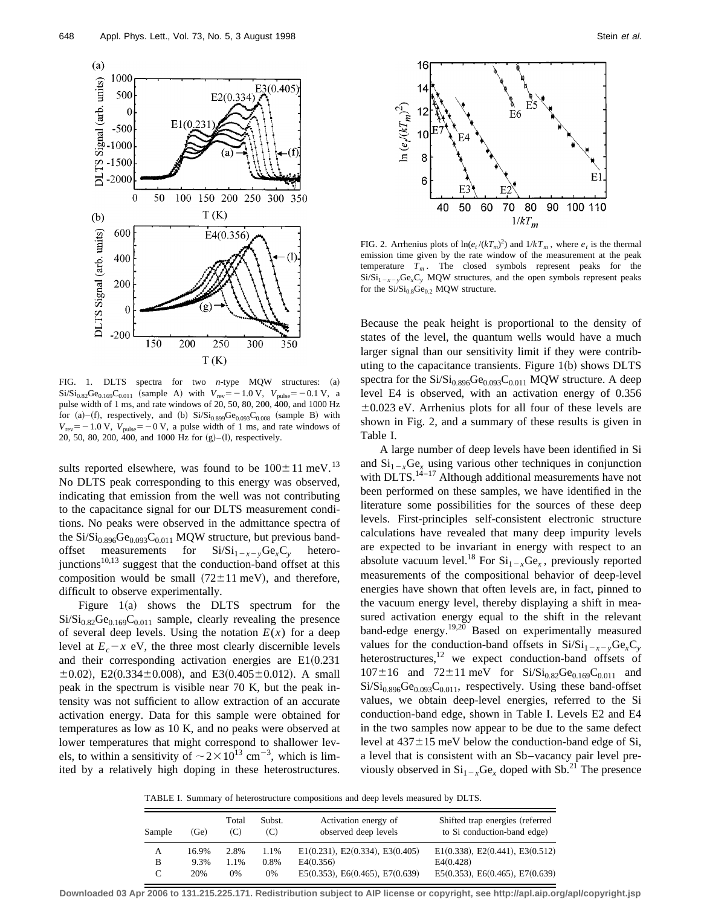

FIG. 1. DLTS spectra for two *n*-type MQW structures: (a)  $Si/Si_{0.82}Ge_{0.169}C_{0.011}$  (sample A) with  $V_{rev}=-1.0 V, V_{pulse}=-0.1 V, a$ pulse width of 1 ms, and rate windows of 20, 50, 80, 200, 400, and 1000 Hz for (a)–(f), respectively, and (b)  $Si/Si_{0.899}Ge_{0.093}C_{0.008}$  (sample B) with  $V_{\text{rev}}$ = -1.0 V,  $V_{\text{pulse}}$ = -0 V, a pulse width of 1 ms, and rate windows of 20, 50, 80, 200, 400, and 1000 Hz for  $(g)$ –(1), respectively.

sults reported elsewhere, was found to be  $100 \pm 11$  meV.<sup>13</sup> No DLTS peak corresponding to this energy was observed, indicating that emission from the well was not contributing to the capacitance signal for our DLTS measurement conditions. No peaks were observed in the admittance spectra of the  $Si/Si_{0.896}Ge_{0.093}C_{0.011}$  MQW structure, but previous bandoffset measurements for  $Si/Si_{1-x-y}Ge_xC_y$  heterojunctions $10,13$  suggest that the conduction-band offset at this composition would be small  $(72 \pm 11 \text{ meV})$ , and therefore, difficult to observe experimentally.

Figure  $1(a)$  shows the DLTS spectrum for the  $Si/Si_{0.82}Ge_{0.169}C_{0.011}$  sample, clearly revealing the presence of several deep levels. Using the notation  $E(x)$  for a deep level at  $E_c - x$  eV, the three most clearly discernible levels and their corresponding activation energies are  $E1(0.231)$  $\pm 0.02$ ), E2(0.334 $\pm 0.008$ ), and E3(0.405 $\pm 0.012$ ). A small peak in the spectrum is visible near 70 K, but the peak intensity was not sufficient to allow extraction of an accurate activation energy. Data for this sample were obtained for temperatures as low as 10 K, and no peaks were observed at lower temperatures that might correspond to shallower levels, to within a sensitivity of  $\sim$  2  $\times$  10<sup>13</sup> cm<sup>-3</sup>, which is limited by a relatively high doping in these heterostructures.



FIG. 2. Arrhenius plots of  $\ln(e_t/(kT_m)^2)$  and  $1/kT_m$ , where  $e_t$  is the thermal emission time given by the rate window of the measurement at the peak temperature  $T_m$ . The closed symbols represent peaks for the  $Si/Si_{1-x-y}Ge_xC_y$  MQW structures, and the open symbols represent peaks for the  $Si/Si_{0.8}Ge_{0.2}$  MQW structure.

Because the peak height is proportional to the density of states of the level, the quantum wells would have a much larger signal than our sensitivity limit if they were contributing to the capacitance transients. Figure  $1(b)$  shows DLTS spectra for the  $Si/Si_{0.896}Ge_{0.093}C_{0.011}$  MQW structure. A deep level E4 is observed, with an activation energy of 0.356  $\pm 0.023$  eV. Arrhenius plots for all four of these levels are shown in Fig. 2, and a summary of these results is given in Table I.

A large number of deep levels have been identified in Si and  $Si_{1-x}Ge_x$  using various other techniques in conjunction with  $DLTS$ .<sup>14–17</sup> Although additional measurements have not been performed on these samples, we have identified in the literature some possibilities for the sources of these deep levels. First-principles self-consistent electronic structure calculations have revealed that many deep impurity levels are expected to be invariant in energy with respect to an absolute vacuum level.<sup>18</sup> For  $Si_{1-x}Ge_x$ , previously reported measurements of the compositional behavior of deep-level energies have shown that often levels are, in fact, pinned to the vacuum energy level, thereby displaying a shift in measured activation energy equal to the shift in the relevant band-edge energy.<sup>19,20</sup> Based on experimentally measured values for the conduction-band offsets in  $Si/Si_{1-x-y}Ge<sub>x</sub>C<sub>y</sub>$ heterostructures,<sup>12</sup> we expect conduction-band offsets of  $107 \pm 16$  and  $72 \pm 11$  meV for  $Si/Si_{0.82}Ge_{0.169}C_{0.011}$  and  $Si/Si<sub>0.896</sub>Ge<sub>0.093</sub>C<sub>0.011</sub>$ , respectively. Using these band-offset values, we obtain deep-level energies, referred to the Si conduction-band edge, shown in Table I. Levels E2 and E4 in the two samples now appear to be due to the same defect level at  $437 \pm 15$  meV below the conduction-band edge of Si, a level that is consistent with an Sb–vacancy pair level previously observed in  $Si_{1-x}Ge_x$  doped with Sb.<sup>21</sup> The presence

TABLE I. Summary of heterostructure compositions and deep levels measured by DLTS.

| Sample | (Ge)  | Total<br>(C) | Subst.<br>(C) | Activation energy of<br>observed deep levels | Shifted trap energies (referred<br>to Si conduction-band edge) |
|--------|-------|--------------|---------------|----------------------------------------------|----------------------------------------------------------------|
| A      | 16.9% | 2.8%         | 1.1%          | $E1(0.231)$ , $E2(0.334)$ , $E3(0.405)$      | E1(0.338), E2(0.441), E3(0.512)                                |
| B      | 9.3%  | 1.1%         | 0.8%          | E4(0.356)                                    | E4(0.428)                                                      |
|        | 20%   | $0\%$        | 0%            | $E5(0.353)$ , $E6(0.465)$ , $E7(0.639)$      | $E5(0.353)$ , $E6(0.465)$ , $E7(0.639)$                        |

**Downloaded 03 Apr 2006 to 131.215.225.171. Redistribution subject to AIP license or copyright, see http://apl.aip.org/apl/copyright.jsp**